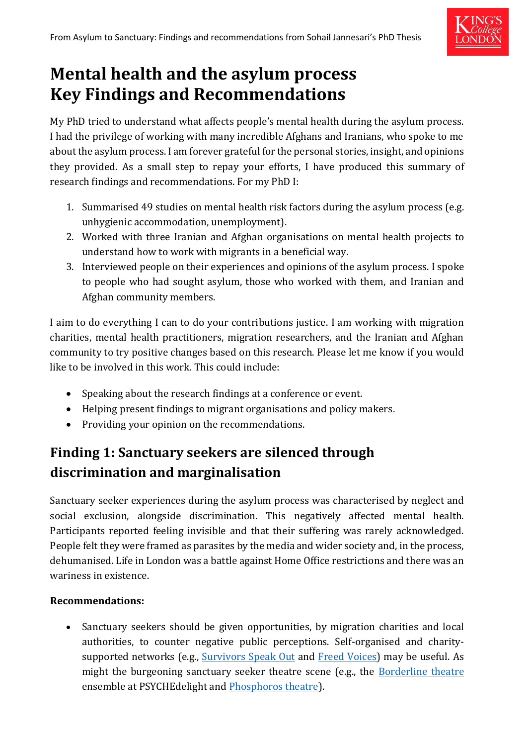

# **Mental health and the asylum process Key Findings and Recommendations**

My PhD tried to understand what affects people's mental health during the asylum process. I had the privilege of working with many incredible Afghans and Iranians, who spoke to me about the asylum process. I am forever grateful for the personal stories, insight, and opinions they provided. As a small step to repay your efforts, I have produced this summary of research findings and recommendations. For my PhD I:

- 1. Summarised 49 studies on mental health risk factors during the asylum process (e.g. unhygienic accommodation, unemployment).
- 2. Worked with three Iranian and Afghan organisations on mental health projects to understand how to work with migrants in a beneficial way.
- 3. Interviewed people on their experiences and opinions of the asylum process. I spoke to people who had sought asylum, those who worked with them, and Iranian and Afghan community members.

I aim to do everything I can to do your contributions justice. I am working with migration charities, mental health practitioners, migration researchers, and the Iranian and Afghan community to try positive changes based on this research. Please let me know if you would like to be involved in this work. This could include:

- Speaking about the research findings at a conference or event.
- Helping present findings to migrant organisations and policy makers.
- Providing your opinion on the recommendations.

# **Finding 1: Sanctuary seekers are silenced through discrimination and marginalisation**

Sanctuary seeker experiences during the asylum process was characterised by neglect and social exclusion, alongside discrimination. This negatively affected mental health. Participants reported feeling invisible and that their suffering was rarely acknowledged. People felt they were framed as parasites by the media and wider society and, in the process, dehumanised. Life in London was a battle against Home Office restrictions and there was an wariness in existence.

#### **Recommendations:**

• Sanctuary seekers should be given opportunities, by migration charities and local authorities, to counter negative public perceptions. Self-organised and charity-supported networks (e.g., [Survivors Speak Out](https://www.freedomfromtorture.org/what-we-do/survivor-activism/survivors-speak-out) and [Freed Voices\)](https://detentionaction.org.uk/freed-voices/) may be useful. As might the burgeoning sanctuary seeker theatre scene (e.g., the [Borderline theatre](https://www.psychedelight.org/borderline) ensemble at PSYCHEdelight and [Phosphoros theatre\)](https://www.phosphorostheatre.com/).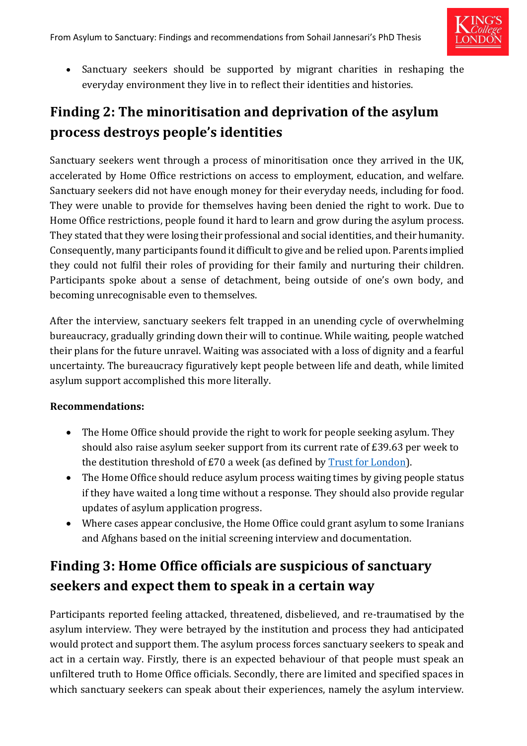

• Sanctuary seekers should be supported by migrant charities in reshaping the everyday environment they live in to reflect their identities and histories.

### **Finding 2: The minoritisation and deprivation of the asylum process destroys people's identities**

Sanctuary seekers went through a process of minoritisation once they arrived in the UK, accelerated by Home Office restrictions on access to employment, education, and welfare. Sanctuary seekers did not have enough money for their everyday needs, including for food. They were unable to provide for themselves having been denied the right to work. Due to Home Office restrictions, people found it hard to learn and grow during the asylum process. They stated that they were losing their professional and social identities, and their humanity. Consequently, many participants found it difficult to give and be relied upon. Parents implied they could not fulfil their roles of providing for their family and nurturing their children. Participants spoke about a sense of detachment, being outside of one's own body, and becoming unrecognisable even to themselves.

After the interview, sanctuary seekers felt trapped in an unending cycle of overwhelming bureaucracy, gradually grinding down their will to continue. While waiting, people watched their plans for the future unravel. Waiting was associated with a loss of dignity and a fearful uncertainty. The bureaucracy figuratively kept people between life and death, while limited asylum support accomplished this more literally.

#### **Recommendations:**

- The Home Office should provide the right to work for people seeking asylum. They should also raise asylum seeker support from its current rate of £39.63 per week to the destitution threshold of £70 a week (as defined by [Trust for London\)](https://www.trustforlondon.org.uk/data/poverty-thresholds/).
- The Home Office should reduce asylum process waiting times by giving people status if they have waited a long time without a response. They should also provide regular updates of asylum application progress.
- Where cases appear conclusive, the Home Office could grant asylum to some Iranians and Afghans based on the initial screening interview and documentation.

### **Finding 3: Home Office officials are suspicious of sanctuary seekers and expect them to speak in a certain way**

Participants reported feeling attacked, threatened, disbelieved, and re-traumatised by the asylum interview. They were betrayed by the institution and process they had anticipated would protect and support them. The asylum process forces sanctuary seekers to speak and act in a certain way. Firstly, there is an expected behaviour of that people must speak an unfiltered truth to Home Office officials. Secondly, there are limited and specified spaces in which sanctuary seekers can speak about their experiences, namely the asylum interview.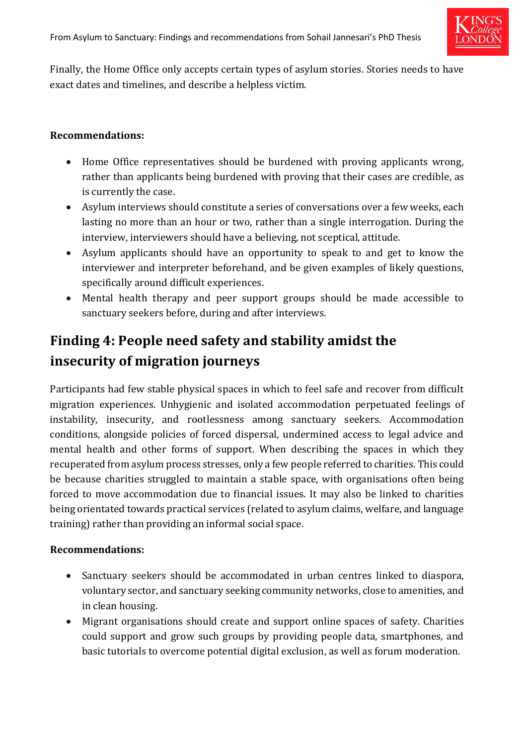

Finally, the Home Office only accepts certain types of asylum stories. Stories needs to have exact dates and timelines, and describe a helpless victim.

#### **Recommendations:**

- Home Office representatives should be burdened with proving applicants wrong, rather than applicants being burdened with proving that their cases are credible, as is currently the case.
- Asylum interviews should constitute a series of conversations over a few weeks, each lasting no more than an hour or two, rather than a single interrogation. During the interview, interviewers should have a believing, not sceptical, attitude.
- Asylum applicants should have an opportunity to speak to and get to know the interviewer and interpreter beforehand, and be given examples of likely questions, specifically around difficult experiences.
- Mental health therapy and peer support groups should be made accessible to sanctuary seekers before, during and after interviews.

### **Finding 4: People need safety and stability amidst the insecurity of migration journeys**

Participants had few stable physical spaces in which to feel safe and recover from difficult migration experiences. Unhygienic and isolated accommodation perpetuated feelings of instability, insecurity, and rootlessness among sanctuary seekers. Accommodation conditions, alongside policies of forced dispersal, undermined access to legal advice and mental health and other forms of support. When describing the spaces in which they recuperated from asylum process stresses, only a few people referred to charities. This could be because charities struggled to maintain a stable space, with organisations often being forced to move accommodation due to financial issues. It may also be linked to charities being orientated towards practical services (related to asylum claims, welfare, and language training) rather than providing an informal social space.

#### **Recommendations:**

- Sanctuary seekers should be accommodated in urban centres linked to diaspora, voluntary sector, and sanctuary seeking community networks, close to amenities, and in clean housing.
- Migrant organisations should create and support online spaces of safety. Charities could support and grow such groups by providing people data, smartphones, and basic tutorials to overcome potential digital exclusion, as well as forum moderation.